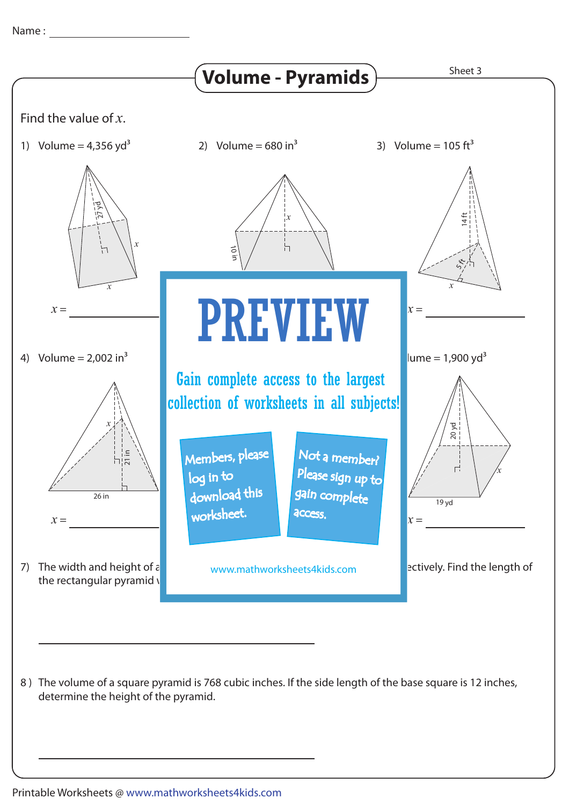